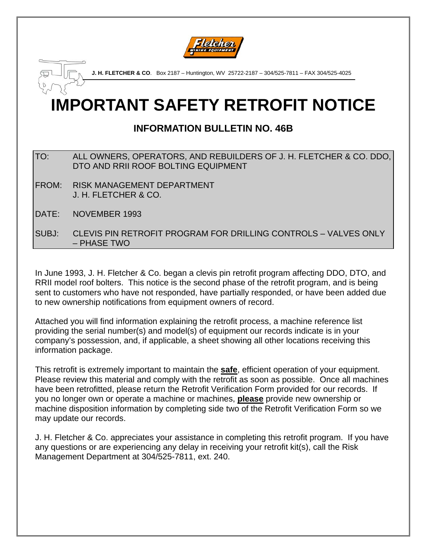

**IMPORTANT SAFETY RETROFIT NOTICE J. H. FLETCHER & CO**. Box 2187 – Huntington, WV 25722-2187 – 304/525-7811 – FAX 304/525-4025

# **INFORMATION BULLETIN NO. 46B**

- TO: ALL OWNERS, OPERATORS, AND REBUILDERS OF J. H. FLETCHER & CO. DDO, DTO AND RRII ROOF BOLTING EQUIPMENT
- FROM: RISK MANAGEMENT DEPARTMENT J. H. FLETCHER & CO.
- DATE: NOVEMBER 1993

SUBJ: CLEVIS PIN RETROFIT PROGRAM FOR DRILLING CONTROLS – VALVES ONLY – PHASE TWO

In June 1993, J. H. Fletcher & Co. began a clevis pin retrofit program affecting DDO, DTO, and RRII model roof bolters. This notice is the second phase of the retrofit program, and is being sent to customers who have not responded, have partially responded, or have been added due to new ownership notifications from equipment owners of record.

Attached you will find information explaining the retrofit process, a machine reference list providing the serial number(s) and model(s) of equipment our records indicate is in your company's possession, and, if applicable, a sheet showing all other locations receiving this information package.

This retrofit is extremely important to maintain the **safe**, efficient operation of your equipment. Please review this material and comply with the retrofit as soon as possible. Once all machines have been retrofitted, please return the Retrofit Verification Form provided for our records. If you no longer own or operate a machine or machines, **please** provide new ownership or machine disposition information by completing side two of the Retrofit Verification Form so we may update our records.

J. H. Fletcher & Co. appreciates your assistance in completing this retrofit program. If you have any questions or are experiencing any delay in receiving your retrofit kit(s), call the Risk Management Department at 304/525-7811, ext. 240.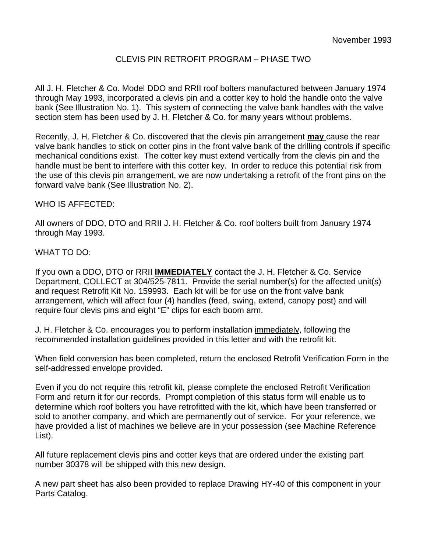## CLEVIS PIN RETROFIT PROGRAM – PHASE TWO

All J. H. Fletcher & Co. Model DDO and RRII roof bolters manufactured between January 1974 through May 1993, incorporated a clevis pin and a cotter key to hold the handle onto the valve bank (See Illustration No. 1). This system of connecting the valve bank handles with the valve section stem has been used by J. H. Fletcher & Co. for many years without problems.

Recently, J. H. Fletcher & Co. discovered that the clevis pin arrangement **may** cause the rear valve bank handles to stick on cotter pins in the front valve bank of the drilling controls if specific mechanical conditions exist. The cotter key must extend vertically from the clevis pin and the handle must be bent to interfere with this cotter key. In order to reduce this potential risk from the use of this clevis pin arrangement, we are now undertaking a retrofit of the front pins on the forward valve bank (See Illustration No. 2).

#### WHO IS AFFECTED:

All owners of DDO, DTO and RRII J. H. Fletcher & Co. roof bolters built from January 1974 through May 1993.

#### WHAT TO DO:

If you own a DDO, DTO or RRII **IMMEDIATELY** contact the J. H. Fletcher & Co. Service Department, COLLECT at 304/525-7811. Provide the serial number(s) for the affected unit(s) and request Retrofit Kit No. 159993. Each kit will be for use on the front valve bank arrangement, which will affect four (4) handles (feed, swing, extend, canopy post) and will require four clevis pins and eight "E" clips for each boom arm.

J. H. Fletcher & Co. encourages you to perform installation immediately, following the recommended installation guidelines provided in this letter and with the retrofit kit.

When field conversion has been completed, return the enclosed Retrofit Verification Form in the self-addressed envelope provided.

Even if you do not require this retrofit kit, please complete the enclosed Retrofit Verification Form and return it for our records. Prompt completion of this status form will enable us to determine which roof bolters you have retrofitted with the kit, which have been transferred or sold to another company, and which are permanently out of service. For your reference, we have provided a list of machines we believe are in your possession (see Machine Reference List).

All future replacement clevis pins and cotter keys that are ordered under the existing part number 30378 will be shipped with this new design.

A new part sheet has also been provided to replace Drawing HY-40 of this component in your Parts Catalog.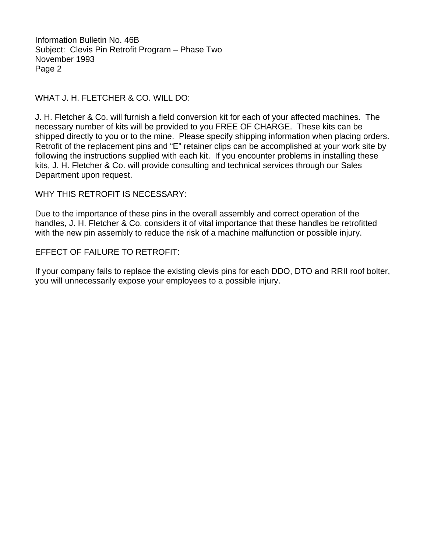Information Bulletin No. 46B Subject: Clevis Pin Retrofit Program – Phase Two November 1993 Page 2

## WHAT J. H. FLETCHER & CO. WILL DO:

J. H. Fletcher & Co. will furnish a field conversion kit for each of your affected machines. The necessary number of kits will be provided to you FREE OF CHARGE. These kits can be shipped directly to you or to the mine. Please specify shipping information when placing orders. Retrofit of the replacement pins and "E" retainer clips can be accomplished at your work site by following the instructions supplied with each kit. If you encounter problems in installing these kits, J. H. Fletcher & Co. will provide consulting and technical services through our Sales Department upon request.

WHY THIS RETROFIT IS NECESSARY:

Due to the importance of these pins in the overall assembly and correct operation of the handles, J. H. Fletcher & Co. considers it of vital importance that these handles be retrofitted with the new pin assembly to reduce the risk of a machine malfunction or possible injury.

#### EFFECT OF FAILURE TO RETROFIT:

If your company fails to replace the existing clevis pins for each DDO, DTO and RRII roof bolter, you will unnecessarily expose your employees to a possible injury.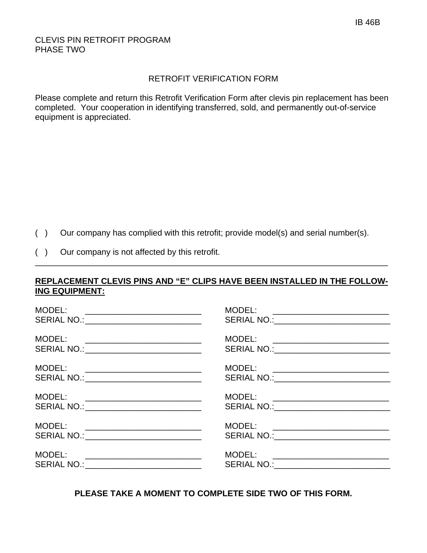## CLEVIS PIN RETROFIT PROGRAM PHASE TWO

### RETROFIT VERIFICATION FORM

Please complete and return this Retrofit Verification Form after clevis pin replacement has been completed. Your cooperation in identifying transferred, sold, and permanently out-of-service equipment is appreciated.

- ( ) Our company has complied with this retrofit; provide model(s) and serial number(s).
- ( ) Our company is not affected by this retrofit.

## **REPLACEMENT CLEVIS PINS AND "E" CLIPS HAVE BEEN INSTALLED IN THE FOLLOW-ING EQUIPMENT:**

\_\_\_\_\_\_\_\_\_\_\_\_\_\_\_\_\_\_\_\_\_\_\_\_\_\_\_\_\_\_\_\_\_\_\_\_\_\_\_\_\_\_\_\_\_\_\_\_\_\_\_\_\_\_\_\_\_\_\_\_\_\_\_\_\_\_\_\_\_\_\_\_\_\_\_\_

| MODEL:<br><u> 1980 - Andrea Andrews, amerikansk politik (</u><br>SERIAL NO.: _____________________________                              | MODEL: ___________________________<br>SERIAL NO.: ___________________________  |
|-----------------------------------------------------------------------------------------------------------------------------------------|--------------------------------------------------------------------------------|
| MODEL:<br>SERIAL NO.: _____________________________                                                                                     |                                                                                |
| MODEL:<br><u> 1980 - Jan Barnett, fransk politiker og den som andre og det for det s</u><br>SERIAL NO.: _______________________________ | MODEL: ___________________________                                             |
| MODEL:<br><u> 1989 - Jan Barbara, manazarta bashkar a shekara ta 1989 - Andrea San A</u><br>SERIAL NO.: _____________________________   | MODEL: __________________________<br>SERIAL NO.:___________________________    |
| MODEL:<br><u> 2000 - Jan Barnett, mars et al. (</u><br>SERIAL NO.: ______________________________                                       | MODEL: __________________________<br>SERIAL NO.:______________________________ |
| MODEL:<br>SERIAL NO.: ______________________________                                                                                    | MODEL: _____________________________<br>SERIAL NO.:___________________________ |

**PLEASE TAKE A MOMENT TO COMPLETE SIDE TWO OF THIS FORM.**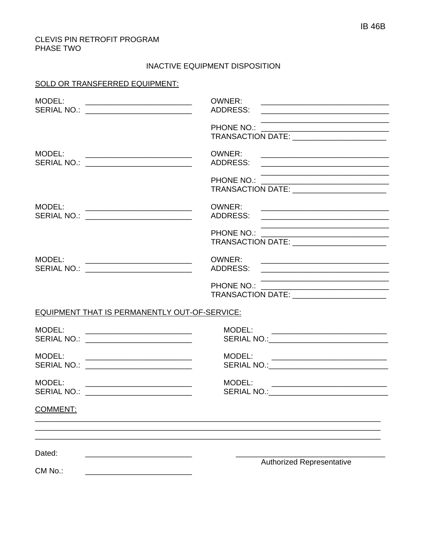#### CLEVIS PIN RETROFIT PROGRAM PHASE TWO

#### INACTIVE EQUIPMENT DISPOSITION

#### SOLD OR TRANSFERRED EQUIPMENT:

| MODEL:<br>SERIAL NO.: ___________________________                                                                                                                         | OWNER:<br>ADDRESS:<br><u> 2000 - Jan James James Jan James James James James James James James James James James James James James Jam</u> |  |
|---------------------------------------------------------------------------------------------------------------------------------------------------------------------------|--------------------------------------------------------------------------------------------------------------------------------------------|--|
|                                                                                                                                                                           | PHONE NO.:<br>TRANSACTION DATE: __________________________                                                                                 |  |
| MODEL:<br>SERIAL NO.: _____________________________                                                                                                                       | OWNER:                                                                                                                                     |  |
|                                                                                                                                                                           | PHONE NO.:<br>TRANSACTION DATE: __________________________                                                                                 |  |
| MODEL:<br><u> 2002 - Jan James James Barnett, president politik (</u><br>SERIAL NO.: __________________________<br>MODEL:<br>SERIAL NO.: _________________________        | OWNER:<br>ADDRESS:                                                                                                                         |  |
|                                                                                                                                                                           |                                                                                                                                            |  |
|                                                                                                                                                                           | OWNER:                                                                                                                                     |  |
|                                                                                                                                                                           | PHONE NO.:<br>TRANSACTION DATE:                                                                                                            |  |
| EQUIPMENT THAT IS PERMANENTLY OUT-OF-SERVICE:                                                                                                                             |                                                                                                                                            |  |
| MODEL:<br><u> 1989 - Jan James James Barnett, fizik eta idazlear (</u><br>SERIAL NO.: <u>________________________</u>                                                     | MODEL:                                                                                                                                     |  |
| MODEL:<br><u> 1989 - Jan James James Barnett, fizik ar meninsk politik (d. 1989)</u><br>SERIAL NO.: ___________________________                                           |                                                                                                                                            |  |
| MODEL:<br><u> 2002 - Jan James James Jan James James James James James James James James James James James James James James</u><br>SERIAL NO.: _________________________ | MODEL:<br>SERIAL NO.: SERIAL NO.:                                                                                                          |  |
| <b>COMMENT:</b>                                                                                                                                                           |                                                                                                                                            |  |
| Dated:                                                                                                                                                                    |                                                                                                                                            |  |
| CM No.:                                                                                                                                                                   | <b>Authorized Representative</b>                                                                                                           |  |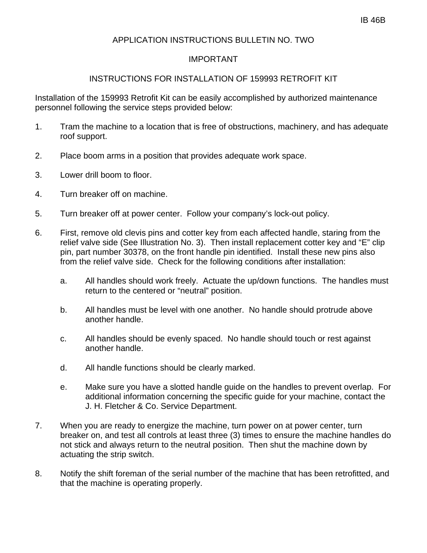## APPLICATION INSTRUCTIONS BULLETIN NO. TWO

## IMPORTANT

## INSTRUCTIONS FOR INSTALLATION OF 159993 RETROFIT KIT

Installation of the 159993 Retrofit Kit can be easily accomplished by authorized maintenance personnel following the service steps provided below:

- 1. Tram the machine to a location that is free of obstructions, machinery, and has adequate roof support.
- 2. Place boom arms in a position that provides adequate work space.
- 3. Lower drill boom to floor.
- 4. Turn breaker off on machine.
- 5. Turn breaker off at power center. Follow your company's lock-out policy.
- 6. First, remove old clevis pins and cotter key from each affected handle, staring from the relief valve side (See Illustration No. 3). Then install replacement cotter key and "E" clip pin, part number 30378, on the front handle pin identified. Install these new pins also from the relief valve side. Check for the following conditions after installation:
	- a. All handles should work freely. Actuate the up/down functions. The handles must return to the centered or "neutral" position.
	- b. All handles must be level with one another. No handle should protrude above another handle.
	- c. All handles should be evenly spaced. No handle should touch or rest against another handle.
	- d. All handle functions should be clearly marked.
	- e. Make sure you have a slotted handle guide on the handles to prevent overlap. For additional information concerning the specific guide for your machine, contact the J. H. Fletcher & Co. Service Department.
- 7. When you are ready to energize the machine, turn power on at power center, turn breaker on, and test all controls at least three (3) times to ensure the machine handles do not stick and always return to the neutral position. Then shut the machine down by actuating the strip switch.
- 8. Notify the shift foreman of the serial number of the machine that has been retrofitted, and that the machine is operating properly.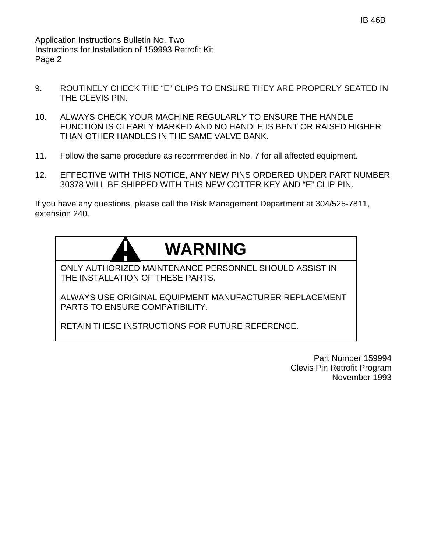Application Instructions Bulletin No. Two Instructions for Installation of 159993 Retrofit Kit Page 2

- 9. ROUTINELY CHECK THE "E" CLIPS TO ENSURE THEY ARE PROPERLY SEATED IN THE CLEVIS PIN.
- 10. ALWAYS CHECK YOUR MACHINE REGULARLY TO ENSURE THE HANDLE FUNCTION IS CLEARLY MARKED AND NO HANDLE IS BENT OR RAISED HIGHER THAN OTHER HANDLES IN THE SAME VALVE BANK.
- 11. Follow the same procedure as recommended in No. 7 for all affected equipment.
- 12. EFFECTIVE WITH THIS NOTICE, ANY NEW PINS ORDERED UNDER PART NUMBER 30378 WILL BE SHIPPED WITH THIS NEW COTTER KEY AND "E" CLIP PIN.

If you have any questions, please call the Risk Management Department at 304/525-7811, extension 240.

# **WARNING**

ONLY AUTHORIZED MAINTENANCE PERSONNEL SHOULD ASSIST IN THE INSTALLATION OF THESE PARTS.

ALWAYS USE ORIGINAL EQUIPMENT MANUFACTURER REPLACEMENT PARTS TO ENSURE COMPATIBILITY.

RETAIN THESE INSTRUCTIONS FOR FUTURE REFERENCE.

Part Number 159994 Clevis Pin Retrofit Program November 1993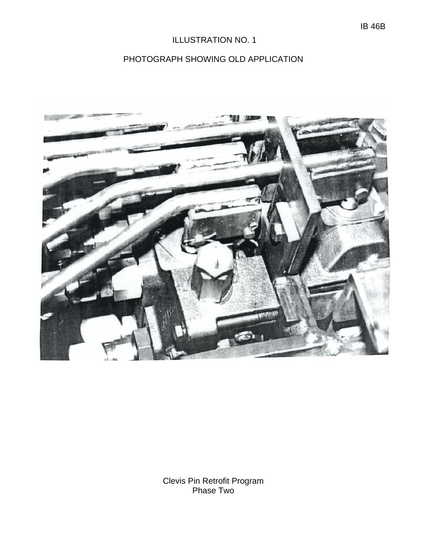# ILLUSTRATION NO. 1

# PHOTOGRAPH SHOWING OLD APPLICATION



Clevis Pin Retrofit Program Phase Two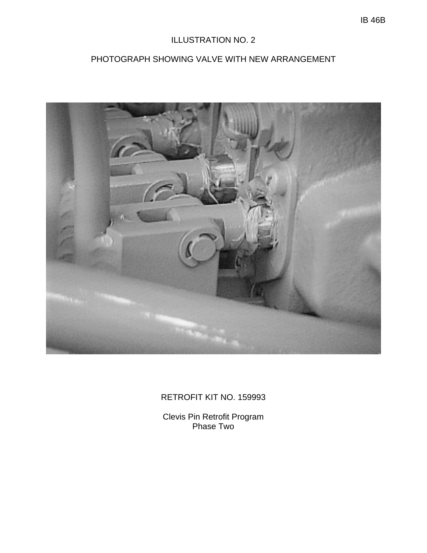# ILLUSTRATION NO. 2

# PHOTOGRAPH SHOWING VALVE WITH NEW ARRANGEMENT



# RETROFIT KIT NO. 159993

Clevis Pin Retrofit Program Phase Two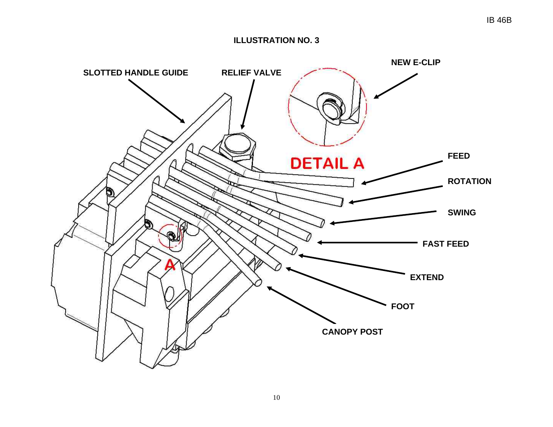#### **ILLUSTRATION NO. 3**